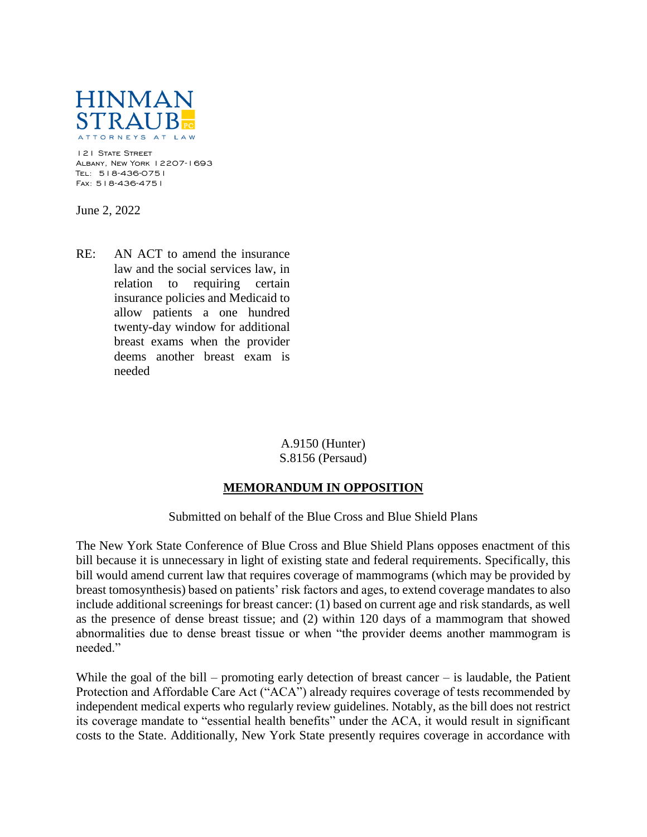

121 STATE STREET Albany, New York 12207-1693 Tel: 518-436-0751 Fax: 518-436-4751

June 2, 2022

RE: AN ACT to amend the insurance law and the social services law, in relation to requiring certain insurance policies and Medicaid to allow patients a one hundred twenty-day window for additional breast exams when the provider deems another breast exam is needed

> A.9150 (Hunter) S.8156 (Persaud)

## **MEMORANDUM IN OPPOSITION**

Submitted on behalf of the Blue Cross and Blue Shield Plans

The New York State Conference of Blue Cross and Blue Shield Plans opposes enactment of this bill because it is unnecessary in light of existing state and federal requirements. Specifically, this bill would amend current law that requires coverage of mammograms (which may be provided by breast tomosynthesis) based on patients' risk factors and ages, to extend coverage mandates to also include additional screenings for breast cancer: (1) based on current age and risk standards, as well as the presence of dense breast tissue; and (2) within 120 days of a mammogram that showed abnormalities due to dense breast tissue or when "the provider deems another mammogram is needed."

While the goal of the bill – promoting early detection of breast cancer – is laudable, the Patient Protection and Affordable Care Act ("ACA") already requires coverage of tests recommended by independent medical experts who regularly review guidelines. Notably, as the bill does not restrict its coverage mandate to "essential health benefits" under the ACA, it would result in significant costs to the State. Additionally, New York State presently requires coverage in accordance with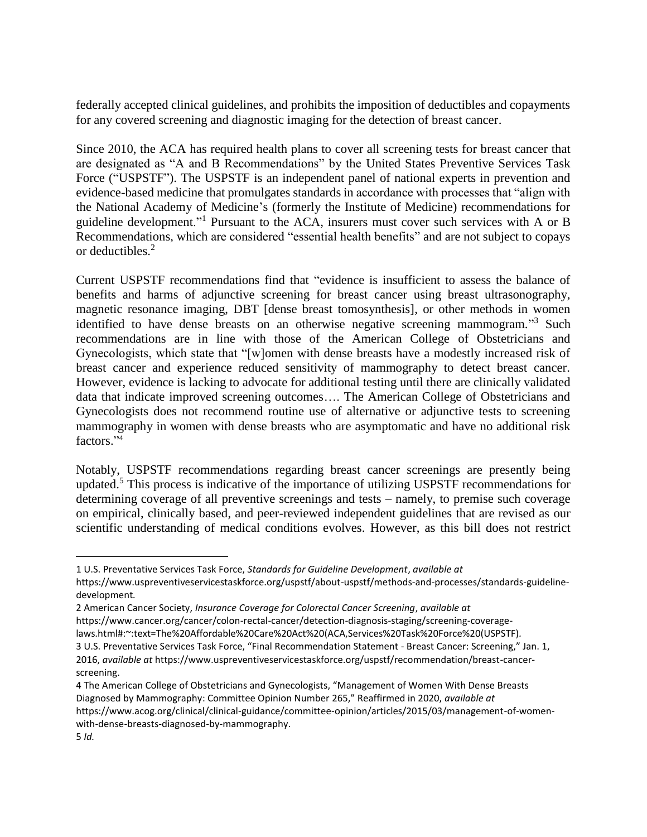federally accepted clinical guidelines, and prohibits the imposition of deductibles and copayments for any covered screening and diagnostic imaging for the detection of breast cancer.

Since 2010, the ACA has required health plans to cover all screening tests for breast cancer that are designated as "A and B Recommendations" by the United States Preventive Services Task Force ("USPSTF"). The USPSTF is an independent panel of national experts in prevention and evidence-based medicine that promulgates standards in accordance with processes that "align with the National Academy of Medicine's (formerly the Institute of Medicine) recommendations for guideline development."<sup>1</sup> Pursuant to the ACA, insurers must cover such services with A or B Recommendations, which are considered "essential health benefits" and are not subject to copays or deductibles. 2

Current USPSTF recommendations find that "evidence is insufficient to assess the balance of benefits and harms of adjunctive screening for breast cancer using breast ultrasonography, magnetic resonance imaging, DBT [dense breast tomosynthesis], or other methods in women identified to have dense breasts on an otherwise negative screening mammogram."<sup>3</sup> Such recommendations are in line with those of the American College of Obstetricians and Gynecologists, which state that "[w]omen with dense breasts have a modestly increased risk of breast cancer and experience reduced sensitivity of mammography to detect breast cancer. However, evidence is lacking to advocate for additional testing until there are clinically validated data that indicate improved screening outcomes…. The American College of Obstetricians and Gynecologists does not recommend routine use of alternative or adjunctive tests to screening mammography in women with dense breasts who are asymptomatic and have no additional risk factors." 4

Notably, USPSTF recommendations regarding breast cancer screenings are presently being updated.<sup>5</sup> This process is indicative of the importance of utilizing USPSTF recommendations for determining coverage of all preventive screenings and tests – namely, to premise such coverage on empirical, clinically based, and peer-reviewed independent guidelines that are revised as our scientific understanding of medical conditions evolves. However, as this bill does not restrict

3 U.S. Preventative Services Task Force, "Final Recommendation Statement - Breast Cancer: Screening," Jan. 1, 2016, *available at* https://www.uspreventiveservicestaskforce.org/uspstf/recommendation/breast-cancerscreening.

 $\overline{a}$ 

<sup>1</sup> U.S. Preventative Services Task Force, *Standards for Guideline Development*, *available at* 

https://www.uspreventiveservicestaskforce.org/uspstf/about-uspstf/methods-and-processes/standards-guidelinedevelopment*.*

<sup>2</sup> American Cancer Society, *Insurance Coverage for Colorectal Cancer Screening*, *available at* 

[https://www.cancer.org/cancer/colon-rectal-cancer/detection-diagnosis-staging/screening-coverage-](https://www.cancer.org/cancer/colon-rectal-cancer/detection-diagnosis-staging/screening-coverage-laws.html#:~:text=The%20Affordable%20Care%20Act%20(ACA,Services%20Task%20Force%20(USPSTF))

[laws.html#:~:text=The%20Affordable%20Care%20Act%20\(ACA,Services%20Task%20Force%20\(USPSTF\)](https://www.cancer.org/cancer/colon-rectal-cancer/detection-diagnosis-staging/screening-coverage-laws.html#:~:text=The%20Affordable%20Care%20Act%20(ACA,Services%20Task%20Force%20(USPSTF))*.*

<sup>4</sup> The American College of Obstetricians and Gynecologists, "Management of Women With Dense Breasts Diagnosed by Mammography: Committee Opinion Number 265," Reaffirmed in 2020, *available at*  https://www.acog.org/clinical/clinical-guidance/committee-opinion/articles/2015/03/management-of-womenwith-dense-breasts-diagnosed-by-mammography.